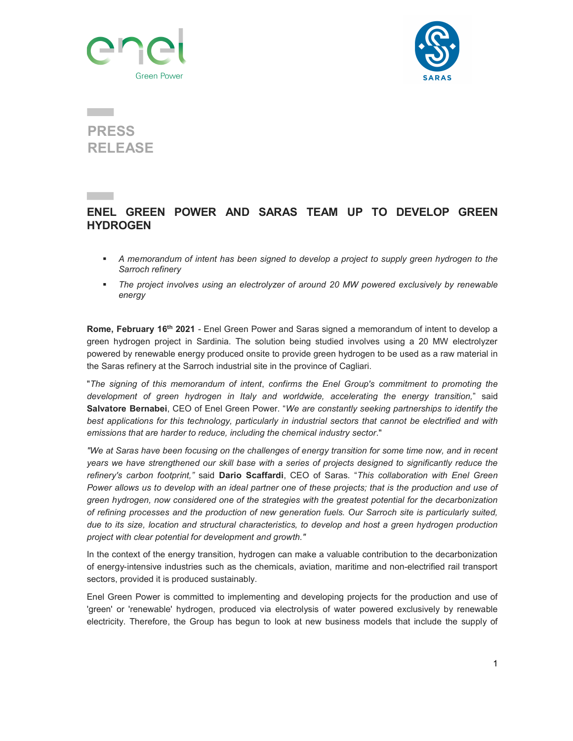



## j PRESS RELEASE

## ENEL GREEN POWER AND SARAS TEAM UP TO DEVELOP GREEN **HYDROGEN**

- A memorandum of intent has been signed to develop a project to supply green hydrogen to the Sarroch refinery
- The project involves using an electrolyzer of around 20 MW powered exclusively by renewable energy

Rome, February 16<sup>th</sup> 2021 - Enel Green Power and Saras signed a memorandum of intent to develop a green hydrogen project in Sardinia. The solution being studied involves using a 20 MW electrolyzer powered by renewable energy produced onsite to provide green hydrogen to be used as a raw material in the Saras refinery at the Sarroch industrial site in the province of Cagliari.

"The signing of this memorandum of intent, confirms the Enel Group's commitment to promoting the development of green hydrogen in Italy and worldwide, accelerating the energy transition," said Salvatore Bernabei, CEO of Enel Green Power. "We are constantly seeking partnerships to identify the best applications for this technology, particularly in industrial sectors that cannot be electrified and with emissions that are harder to reduce, including the chemical industry sector."

"We at Saras have been focusing on the challenges of energy transition for some time now, and in recent years we have strengthened our skill base with a series of projects designed to significantly reduce the refinery's carbon footprint," said Dario Scaffardi, CEO of Saras. "This collaboration with Enel Green Power allows us to develop with an ideal partner one of these projects; that is the production and use of green hydrogen, now considered one of the strategies with the greatest potential for the decarbonization of refining processes and the production of new generation fuels. Our Sarroch site is particularly suited, due to its size, location and structural characteristics, to develop and host a green hydrogen production project with clear potential for development and growth."

In the context of the energy transition, hydrogen can make a valuable contribution to the decarbonization of energy-intensive industries such as the chemicals, aviation, maritime and non-electrified rail transport sectors, provided it is produced sustainably.

Enel Green Power is committed to implementing and developing projects for the production and use of 'green' or 'renewable' hydrogen, produced via electrolysis of water powered exclusively by renewable electricity. Therefore, the Group has begun to look at new business models that include the supply of